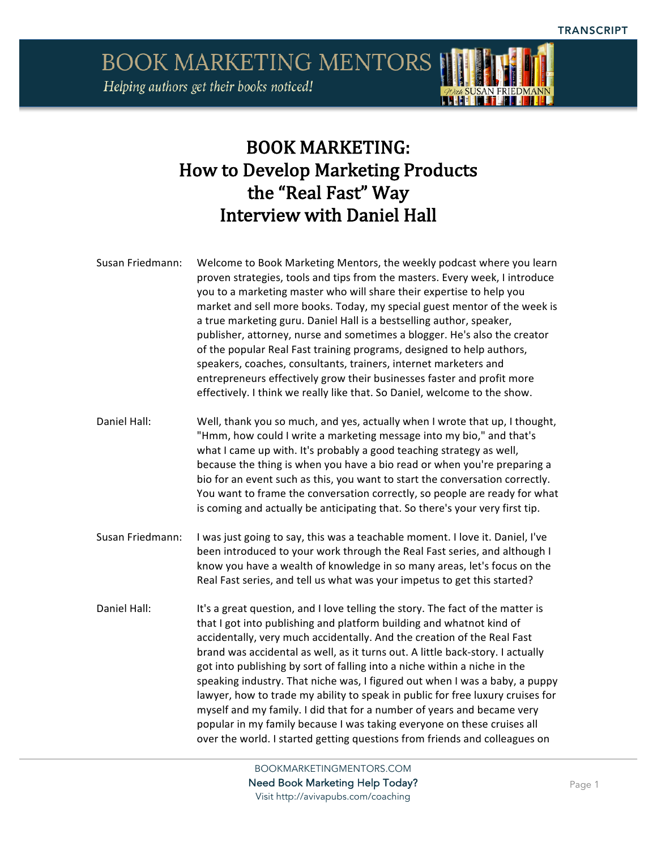**BOOK MARKETING MENTORS** Helping authors get their books noticed!



## BOOK MARKETING: How to Develop Marketing Products the "Real Fast" Way Interview with Daniel Hall

- Susan Friedmann: Welcome to Book Marketing Mentors, the weekly podcast where you learn proven strategies, tools and tips from the masters. Every week, I introduce you to a marketing master who will share their expertise to help you market and sell more books. Today, my special guest mentor of the week is a true marketing guru. Daniel Hall is a bestselling author, speaker, publisher, attorney, nurse and sometimes a blogger. He's also the creator of the popular Real Fast training programs, designed to help authors, speakers, coaches, consultants, trainers, internet marketers and entrepreneurs effectively grow their businesses faster and profit more effectively. I think we really like that. So Daniel, welcome to the show.
- Daniel Hall: Well, thank you so much, and yes, actually when I wrote that up, I thought, "Hmm, how could I write a marketing message into my bio," and that's what I came up with. It's probably a good teaching strategy as well, because the thing is when you have a bio read or when you're preparing a bio for an event such as this, you want to start the conversation correctly. You want to frame the conversation correctly, so people are ready for what is coming and actually be anticipating that. So there's your very first tip.
- Susan Friedmann: I was just going to say, this was a teachable moment. I love it. Daniel, I've been introduced to your work through the Real Fast series, and although I know you have a wealth of knowledge in so many areas, let's focus on the Real Fast series, and tell us what was your impetus to get this started?
- Daniel Hall: It's a great question, and I love telling the story. The fact of the matter is that I got into publishing and platform building and whatnot kind of accidentally, very much accidentally. And the creation of the Real Fast brand was accidental as well, as it turns out. A little back-story. I actually got into publishing by sort of falling into a niche within a niche in the speaking industry. That niche was, I figured out when I was a baby, a puppy lawyer, how to trade my ability to speak in public for free luxury cruises for myself and my family. I did that for a number of years and became very popular in my family because I was taking everyone on these cruises all over the world. I started getting questions from friends and colleagues on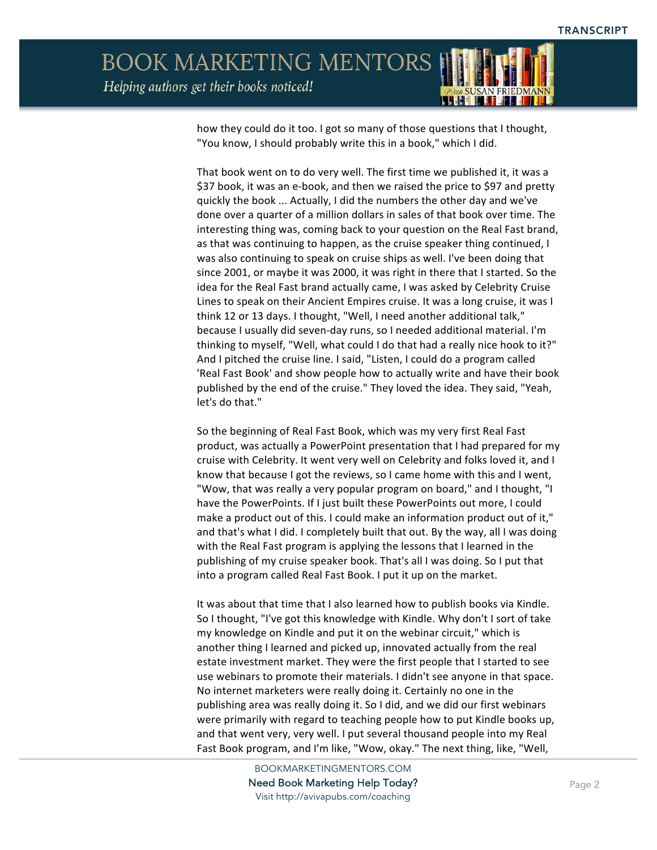## **BOOK MARKETING MENTORS** Helping authors get their books noticed!



L CHELLET

That book went on to do very well. The first time we published it, it was a \$37 book, it was an e-book, and then we raised the price to \$97 and pretty quickly the book ... Actually, I did the numbers the other day and we've done over a quarter of a million dollars in sales of that book over time. The interesting thing was, coming back to your question on the Real Fast brand, as that was continuing to happen, as the cruise speaker thing continued, I was also continuing to speak on cruise ships as well. I've been doing that since 2001, or maybe it was 2000, it was right in there that I started. So the idea for the Real Fast brand actually came, I was asked by Celebrity Cruise Lines to speak on their Ancient Empires cruise. It was a long cruise, it was I think 12 or 13 days. I thought, "Well, I need another additional talk," because I usually did seven-day runs, so I needed additional material. I'm thinking to myself, "Well, what could I do that had a really nice hook to it?" And I pitched the cruise line. I said, "Listen, I could do a program called 'Real Fast Book' and show people how to actually write and have their book published by the end of the cruise." They loved the idea. They said, "Yeah, let's do that."

So the beginning of Real Fast Book, which was my very first Real Fast product, was actually a PowerPoint presentation that I had prepared for my cruise with Celebrity. It went very well on Celebrity and folks loved it, and I know that because I got the reviews, so I came home with this and I went, "Wow, that was really a very popular program on board," and I thought, "I have the PowerPoints. If I just built these PowerPoints out more, I could make a product out of this. I could make an information product out of it," and that's what I did. I completely built that out. By the way, all I was doing with the Real Fast program is applying the lessons that I learned in the publishing of my cruise speaker book. That's all I was doing. So I put that into a program called Real Fast Book. I put it up on the market.

It was about that time that I also learned how to publish books via Kindle. So I thought, "I've got this knowledge with Kindle. Why don't I sort of take my knowledge on Kindle and put it on the webinar circuit," which is another thing I learned and picked up, innovated actually from the real estate investment market. They were the first people that I started to see use webinars to promote their materials. I didn't see anyone in that space. No internet marketers were really doing it. Certainly no one in the publishing area was really doing it. So I did, and we did our first webinars were primarily with regard to teaching people how to put Kindle books up, and that went very, very well. I put several thousand people into my Real Fast Book program, and I'm like, "Wow, okay." The next thing, like, "Well,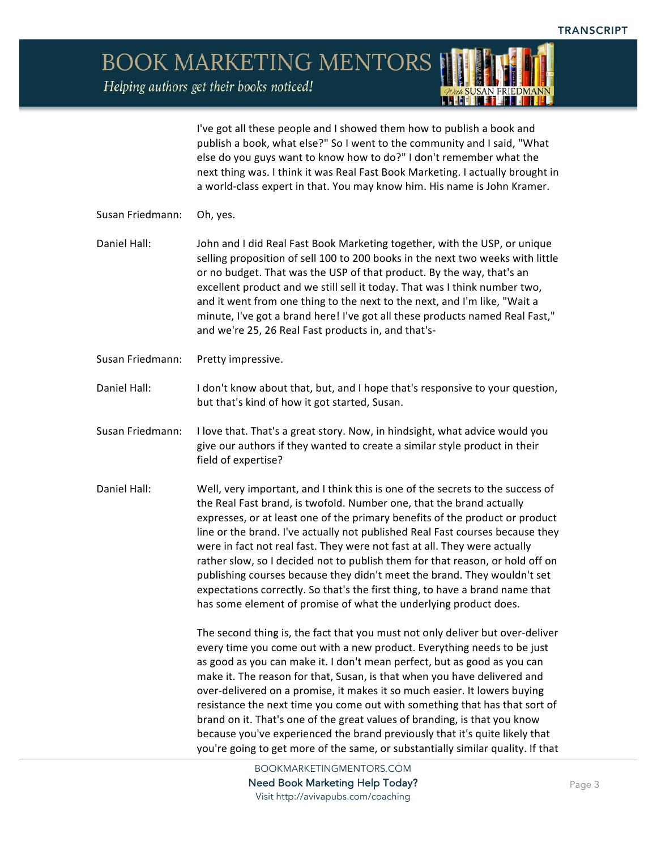Helping authors get their books noticed!



I've got all these people and I showed them how to publish a book and publish a book, what else?" So I went to the community and I said, "What else do you guys want to know how to do?" I don't remember what the next thing was. I think it was Real Fast Book Marketing. I actually brought in a world-class expert in that. You may know him. His name is John Kramer.

- Susan Friedmann: Oh, yes.
- Daniel Hall: John and I did Real Fast Book Marketing together, with the USP, or unique selling proposition of sell 100 to 200 books in the next two weeks with little or no budget. That was the USP of that product. By the way, that's an excellent product and we still sell it today. That was I think number two, and it went from one thing to the next to the next, and I'm like, "Wait a minute, I've got a brand here! I've got all these products named Real Fast," and we're 25, 26 Real Fast products in, and that's-
- Susan Friedmann: Pretty impressive.
- Daniel Hall: I don't know about that, but, and I hope that's responsive to your question, but that's kind of how it got started, Susan.
- Susan Friedmann: I love that. That's a great story. Now, in hindsight, what advice would you give our authors if they wanted to create a similar style product in their field of expertise?
- Daniel Hall: Well, very important, and I think this is one of the secrets to the success of the Real Fast brand, is twofold. Number one, that the brand actually expresses, or at least one of the primary benefits of the product or product line or the brand. I've actually not published Real Fast courses because they were in fact not real fast. They were not fast at all. They were actually rather slow, so I decided not to publish them for that reason, or hold off on publishing courses because they didn't meet the brand. They wouldn't set expectations correctly. So that's the first thing, to have a brand name that has some element of promise of what the underlying product does.

The second thing is, the fact that you must not only deliver but over-deliver every time you come out with a new product. Everything needs to be just as good as you can make it. I don't mean perfect, but as good as you can make it. The reason for that, Susan, is that when you have delivered and over-delivered on a promise, it makes it so much easier. It lowers buying resistance the next time you come out with something that has that sort of brand on it. That's one of the great values of branding, is that you know because you've experienced the brand previously that it's quite likely that you're going to get more of the same, or substantially similar quality. If that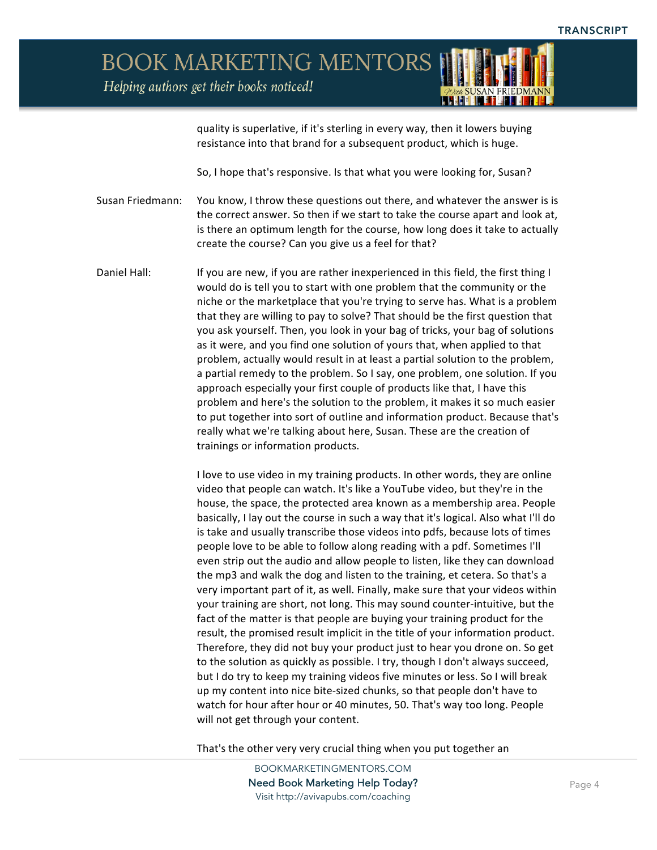Helping authors get their books noticed!



quality is superlative, if it's sterling in every way, then it lowers buying resistance into that brand for a subsequent product, which is huge.

So, I hope that's responsive. Is that what you were looking for, Susan?

Susan Friedmann: You know, I throw these questions out there, and whatever the answer is is the correct answer. So then if we start to take the course apart and look at, is there an optimum length for the course, how long does it take to actually create the course? Can you give us a feel for that?

Daniel Hall: If you are new, if you are rather inexperienced in this field, the first thing I would do is tell you to start with one problem that the community or the niche or the marketplace that you're trying to serve has. What is a problem that they are willing to pay to solve? That should be the first question that you ask yourself. Then, you look in your bag of tricks, your bag of solutions as it were, and you find one solution of yours that, when applied to that problem, actually would result in at least a partial solution to the problem, a partial remedy to the problem. So I say, one problem, one solution. If you approach especially your first couple of products like that, I have this problem and here's the solution to the problem, it makes it so much easier to put together into sort of outline and information product. Because that's really what we're talking about here, Susan. These are the creation of trainings or information products.

> I love to use video in my training products. In other words, they are online video that people can watch. It's like a YouTube video, but they're in the house, the space, the protected area known as a membership area. People basically, I lay out the course in such a way that it's logical. Also what I'll do is take and usually transcribe those videos into pdfs, because lots of times people love to be able to follow along reading with a pdf. Sometimes I'll even strip out the audio and allow people to listen, like they can download the mp3 and walk the dog and listen to the training, et cetera. So that's a very important part of it, as well. Finally, make sure that your videos within your training are short, not long. This may sound counter-intuitive, but the fact of the matter is that people are buying your training product for the result, the promised result implicit in the title of your information product. Therefore, they did not buy your product just to hear you drone on. So get to the solution as quickly as possible. I try, though I don't always succeed, but I do try to keep my training videos five minutes or less. So I will break up my content into nice bite-sized chunks, so that people don't have to watch for hour after hour or 40 minutes, 50. That's way too long. People will not get through your content.

That's the other very very crucial thing when you put together an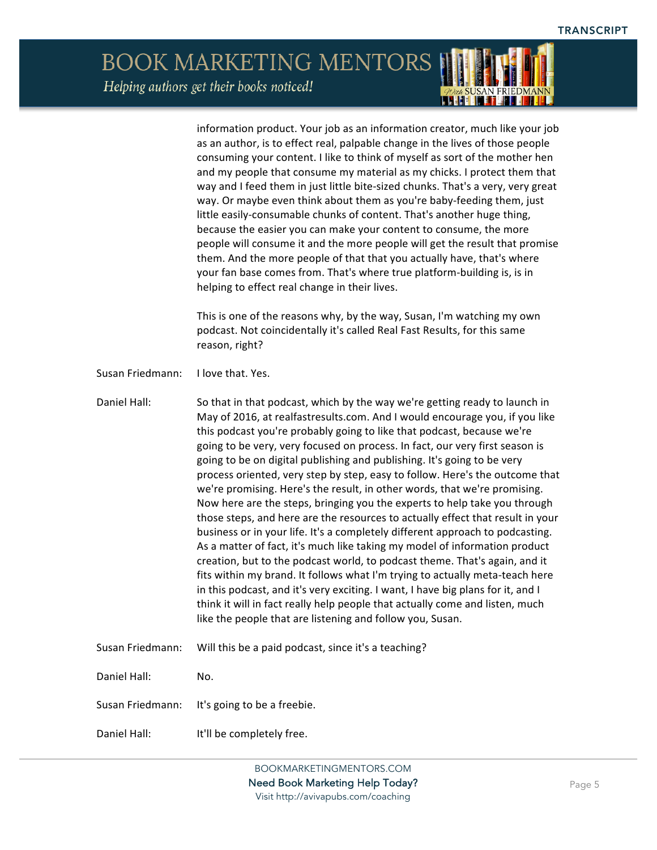*ADun* SUSAN FRIEDMANN

BOOK MARKETING MENTORS Helping authors get their books noticed!

|                  | information product. Your job as an information creator, much like your job<br>as an author, is to effect real, palpable change in the lives of those people<br>consuming your content. I like to think of myself as sort of the mother hen<br>and my people that consume my material as my chicks. I protect them that<br>way and I feed them in just little bite-sized chunks. That's a very, very great<br>way. Or maybe even think about them as you're baby-feeding them, just<br>little easily-consumable chunks of content. That's another huge thing,<br>because the easier you can make your content to consume, the more<br>people will consume it and the more people will get the result that promise<br>them. And the more people of that that you actually have, that's where<br>your fan base comes from. That's where true platform-building is, is in<br>helping to effect real change in their lives.<br>This is one of the reasons why, by the way, Susan, I'm watching my own<br>podcast. Not coincidentally it's called Real Fast Results, for this same<br>reason, right?                                                                                                                                                                                         |
|------------------|-----------------------------------------------------------------------------------------------------------------------------------------------------------------------------------------------------------------------------------------------------------------------------------------------------------------------------------------------------------------------------------------------------------------------------------------------------------------------------------------------------------------------------------------------------------------------------------------------------------------------------------------------------------------------------------------------------------------------------------------------------------------------------------------------------------------------------------------------------------------------------------------------------------------------------------------------------------------------------------------------------------------------------------------------------------------------------------------------------------------------------------------------------------------------------------------------------------------------------------------------------------------------------------------|
| Susan Friedmann: | I love that. Yes.                                                                                                                                                                                                                                                                                                                                                                                                                                                                                                                                                                                                                                                                                                                                                                                                                                                                                                                                                                                                                                                                                                                                                                                                                                                                       |
|                  |                                                                                                                                                                                                                                                                                                                                                                                                                                                                                                                                                                                                                                                                                                                                                                                                                                                                                                                                                                                                                                                                                                                                                                                                                                                                                         |
| Daniel Hall:     | So that in that podcast, which by the way we're getting ready to launch in<br>May of 2016, at realfastresults.com. And I would encourage you, if you like<br>this podcast you're probably going to like that podcast, because we're<br>going to be very, very focused on process. In fact, our very first season is<br>going to be on digital publishing and publishing. It's going to be very<br>process oriented, very step by step, easy to follow. Here's the outcome that<br>we're promising. Here's the result, in other words, that we're promising.<br>Now here are the steps, bringing you the experts to help take you through<br>those steps, and here are the resources to actually effect that result in your<br>business or in your life. It's a completely different approach to podcasting.<br>As a matter of fact, it's much like taking my model of information product<br>creation, but to the podcast world, to podcast theme. That's again, and it<br>fits within my brand. It follows what I'm trying to actually meta-teach here<br>in this podcast, and it's very exciting. I want, I have big plans for it, and I<br>think it will in fact really help people that actually come and listen, much<br>like the people that are listening and follow you, Susan. |
| Susan Friedmann: | Will this be a paid podcast, since it's a teaching?                                                                                                                                                                                                                                                                                                                                                                                                                                                                                                                                                                                                                                                                                                                                                                                                                                                                                                                                                                                                                                                                                                                                                                                                                                     |
| Daniel Hall:     | No.                                                                                                                                                                                                                                                                                                                                                                                                                                                                                                                                                                                                                                                                                                                                                                                                                                                                                                                                                                                                                                                                                                                                                                                                                                                                                     |
| Susan Friedmann: | It's going to be a freebie.                                                                                                                                                                                                                                                                                                                                                                                                                                                                                                                                                                                                                                                                                                                                                                                                                                                                                                                                                                                                                                                                                                                                                                                                                                                             |
| Daniel Hall:     | It'll be completely free.                                                                                                                                                                                                                                                                                                                                                                                                                                                                                                                                                                                                                                                                                                                                                                                                                                                                                                                                                                                                                                                                                                                                                                                                                                                               |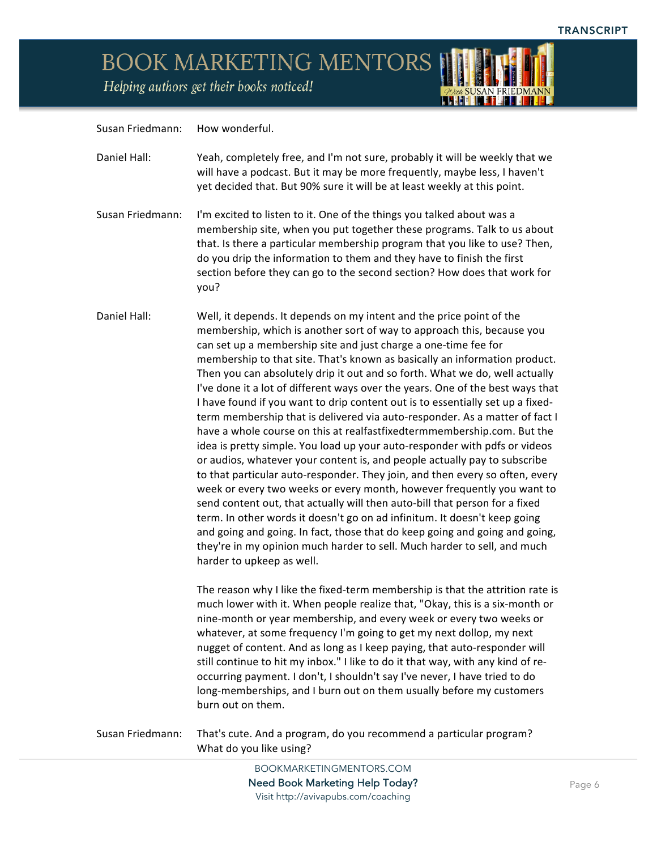Helping authors get their books noticed!

Susan Friedmann: How wonderful.

| With SUSAN FRIEDMANN |
|----------------------|
|                      |

| Daniel Hall:     | Yeah, completely free, and I'm not sure, probably it will be weekly that we<br>will have a podcast. But it may be more frequently, maybe less, I haven't<br>yet decided that. But 90% sure it will be at least weekly at this point.                                                                                                                                                                                                                                                                                                                                                                                                                                                                                                                                                                                                                                                                                                                                                                                                                                                                                                                                                                                                                                                                                                                                                  |
|------------------|---------------------------------------------------------------------------------------------------------------------------------------------------------------------------------------------------------------------------------------------------------------------------------------------------------------------------------------------------------------------------------------------------------------------------------------------------------------------------------------------------------------------------------------------------------------------------------------------------------------------------------------------------------------------------------------------------------------------------------------------------------------------------------------------------------------------------------------------------------------------------------------------------------------------------------------------------------------------------------------------------------------------------------------------------------------------------------------------------------------------------------------------------------------------------------------------------------------------------------------------------------------------------------------------------------------------------------------------------------------------------------------|
| Susan Friedmann: | I'm excited to listen to it. One of the things you talked about was a<br>membership site, when you put together these programs. Talk to us about<br>that. Is there a particular membership program that you like to use? Then,<br>do you drip the information to them and they have to finish the first<br>section before they can go to the second section? How does that work for<br>you?                                                                                                                                                                                                                                                                                                                                                                                                                                                                                                                                                                                                                                                                                                                                                                                                                                                                                                                                                                                           |
| Daniel Hall:     | Well, it depends. It depends on my intent and the price point of the<br>membership, which is another sort of way to approach this, because you<br>can set up a membership site and just charge a one-time fee for<br>membership to that site. That's known as basically an information product.<br>Then you can absolutely drip it out and so forth. What we do, well actually<br>I've done it a lot of different ways over the years. One of the best ways that<br>I have found if you want to drip content out is to essentially set up a fixed-<br>term membership that is delivered via auto-responder. As a matter of fact I<br>have a whole course on this at realfastfixedtermmembership.com. But the<br>idea is pretty simple. You load up your auto-responder with pdfs or videos<br>or audios, whatever your content is, and people actually pay to subscribe<br>to that particular auto-responder. They join, and then every so often, every<br>week or every two weeks or every month, however frequently you want to<br>send content out, that actually will then auto-bill that person for a fixed<br>term. In other words it doesn't go on ad infinitum. It doesn't keep going<br>and going and going. In fact, those that do keep going and going and going,<br>they're in my opinion much harder to sell. Much harder to sell, and much<br>harder to upkeep as well. |
|                  | The reason why I like the fixed-term membership is that the attrition rate is<br>much lower with it. When people realize that, "Okay, this is a six-month or<br>nine-month or year membership, and every week or every two weeks or<br>whatever, at some frequency I'm going to get my next dollop, my next<br>nugget of content. And as long as I keep paying, that auto-responder will<br>still continue to hit my inbox." I like to do it that way, with any kind of re-<br>occurring payment. I don't, I shouldn't say I've never, I have tried to do<br>long-memberships, and I burn out on them usually before my customers<br>burn out on them.                                                                                                                                                                                                                                                                                                                                                                                                                                                                                                                                                                                                                                                                                                                                |
| Susan Friedmann: | That's cute. And a program, do you recommend a particular program?<br>What do you like using?                                                                                                                                                                                                                                                                                                                                                                                                                                                                                                                                                                                                                                                                                                                                                                                                                                                                                                                                                                                                                                                                                                                                                                                                                                                                                         |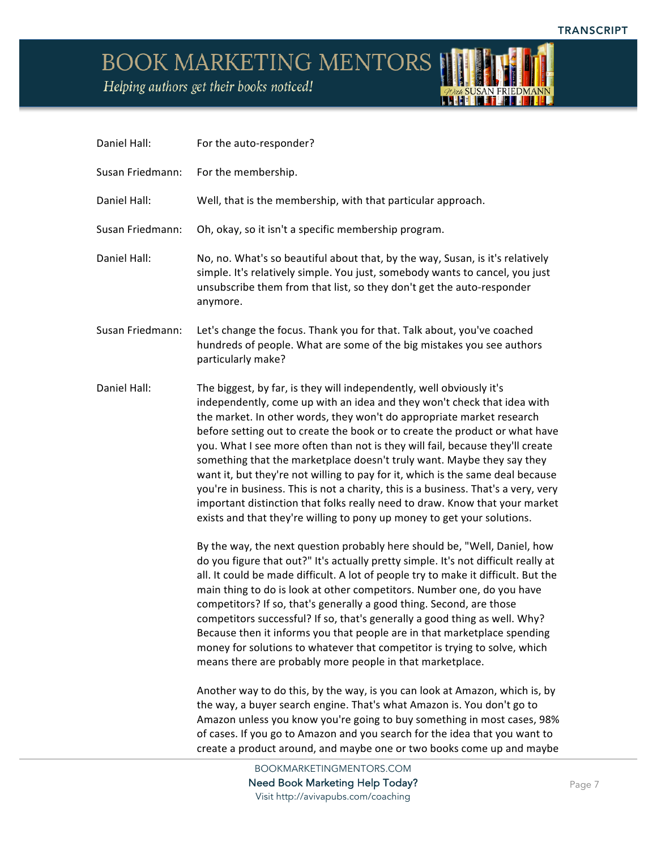*AVEA* SUSAN FRIEDMANN

## BOOK MARKETING MENTORS

Helping authors get their books noticed!

| Daniel Hall:     | For the auto-responder?                                                                                                                                                                                                                                                                                                                                                                                                                                                                                                                                                                                                                                                                                                                                                                              |
|------------------|------------------------------------------------------------------------------------------------------------------------------------------------------------------------------------------------------------------------------------------------------------------------------------------------------------------------------------------------------------------------------------------------------------------------------------------------------------------------------------------------------------------------------------------------------------------------------------------------------------------------------------------------------------------------------------------------------------------------------------------------------------------------------------------------------|
| Susan Friedmann: | For the membership.                                                                                                                                                                                                                                                                                                                                                                                                                                                                                                                                                                                                                                                                                                                                                                                  |
| Daniel Hall:     | Well, that is the membership, with that particular approach.                                                                                                                                                                                                                                                                                                                                                                                                                                                                                                                                                                                                                                                                                                                                         |
| Susan Friedmann: | Oh, okay, so it isn't a specific membership program.                                                                                                                                                                                                                                                                                                                                                                                                                                                                                                                                                                                                                                                                                                                                                 |
| Daniel Hall:     | No, no. What's so beautiful about that, by the way, Susan, is it's relatively<br>simple. It's relatively simple. You just, somebody wants to cancel, you just<br>unsubscribe them from that list, so they don't get the auto-responder<br>anymore.                                                                                                                                                                                                                                                                                                                                                                                                                                                                                                                                                   |
| Susan Friedmann: | Let's change the focus. Thank you for that. Talk about, you've coached<br>hundreds of people. What are some of the big mistakes you see authors<br>particularly make?                                                                                                                                                                                                                                                                                                                                                                                                                                                                                                                                                                                                                                |
| Daniel Hall:     | The biggest, by far, is they will independently, well obviously it's<br>independently, come up with an idea and they won't check that idea with<br>the market. In other words, they won't do appropriate market research<br>before setting out to create the book or to create the product or what have<br>you. What I see more often than not is they will fail, because they'll create<br>something that the marketplace doesn't truly want. Maybe they say they<br>want it, but they're not willing to pay for it, which is the same deal because<br>you're in business. This is not a charity, this is a business. That's a very, very<br>important distinction that folks really need to draw. Know that your market<br>exists and that they're willing to pony up money to get your solutions. |
|                  | By the way, the next question probably here should be, "Well, Daniel, how<br>do you figure that out?" It's actually pretty simple. It's not difficult really at<br>all. It could be made difficult. A lot of people try to make it difficult. But the<br>main thing to do is look at other competitors. Number one, do you have<br>competitors? If so, that's generally a good thing. Second, are those<br>competitors successful? If so, that's generally a good thing as well. Why?<br>Because then it informs you that people are in that marketplace spending<br>money for solutions to whatever that competitor is trying to solve, which<br>means there are probably more people in that marketplace.                                                                                          |
|                  | Another way to do this, by the way, is you can look at Amazon, which is, by<br>the way, a buyer search engine. That's what Amazon is. You don't go to<br>Amazon unless you know you're going to buy something in most cases, 98%<br>of cases. If you go to Amazon and you search for the idea that you want to<br>create a product around, and maybe one or two books come up and maybe                                                                                                                                                                                                                                                                                                                                                                                                              |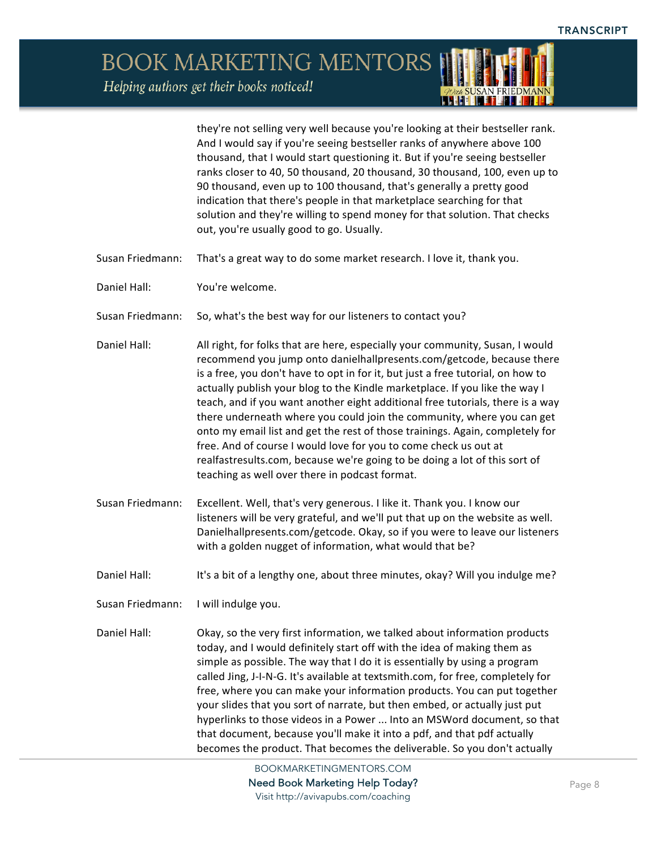Helping authors get their books noticed!

they're not selling very well because you're looking at their bestseller rank. And I would say if you're seeing bestseller ranks of anywhere above 100 thousand, that I would start questioning it. But if you're seeing bestseller ranks closer to 40, 50 thousand, 20 thousand, 30 thousand, 100, even up to 90 thousand, even up to 100 thousand, that's generally a pretty good indication that there's people in that marketplace searching for that solution and they're willing to spend money for that solution. That checks out, you're usually good to go. Usually.

. . I HI

- Susan Friedmann: That's a great way to do some market research. I love it, thank you.
- Daniel Hall: You're welcome.
- Susan Friedmann: So, what's the best way for our listeners to contact you?
- Daniel Hall: All right, for folks that are here, especially your community, Susan, I would recommend you jump onto danielhallpresents.com/getcode, because there is a free, you don't have to opt in for it, but just a free tutorial, on how to actually publish your blog to the Kindle marketplace. If you like the way I teach, and if you want another eight additional free tutorials, there is a way there underneath where you could join the community, where you can get onto my email list and get the rest of those trainings. Again, completely for free. And of course I would love for you to come check us out at realfastresults.com, because we're going to be doing a lot of this sort of teaching as well over there in podcast format.
- Susan Friedmann: Excellent. Well, that's very generous. I like it. Thank you. I know our listeners will be very grateful, and we'll put that up on the website as well. Danielhallpresents.com/getcode. Okay, so if you were to leave our listeners with a golden nugget of information, what would that be?
- Daniel Hall: It's a bit of a lengthy one, about three minutes, okay? Will you indulge me?
- Susan Friedmann: I will indulge you.

Daniel Hall: Okay, so the very first information, we talked about information products today, and I would definitely start off with the idea of making them as simple as possible. The way that I do it is essentially by using a program called Jing, J-I-N-G. It's available at textsmith.com, for free, completely for free, where you can make your information products. You can put together your slides that you sort of narrate, but then embed, or actually just put hyperlinks to those videos in a Power ... Into an MSWord document, so that that document, because you'll make it into a pdf, and that pdf actually becomes the product. That becomes the deliverable. So you don't actually